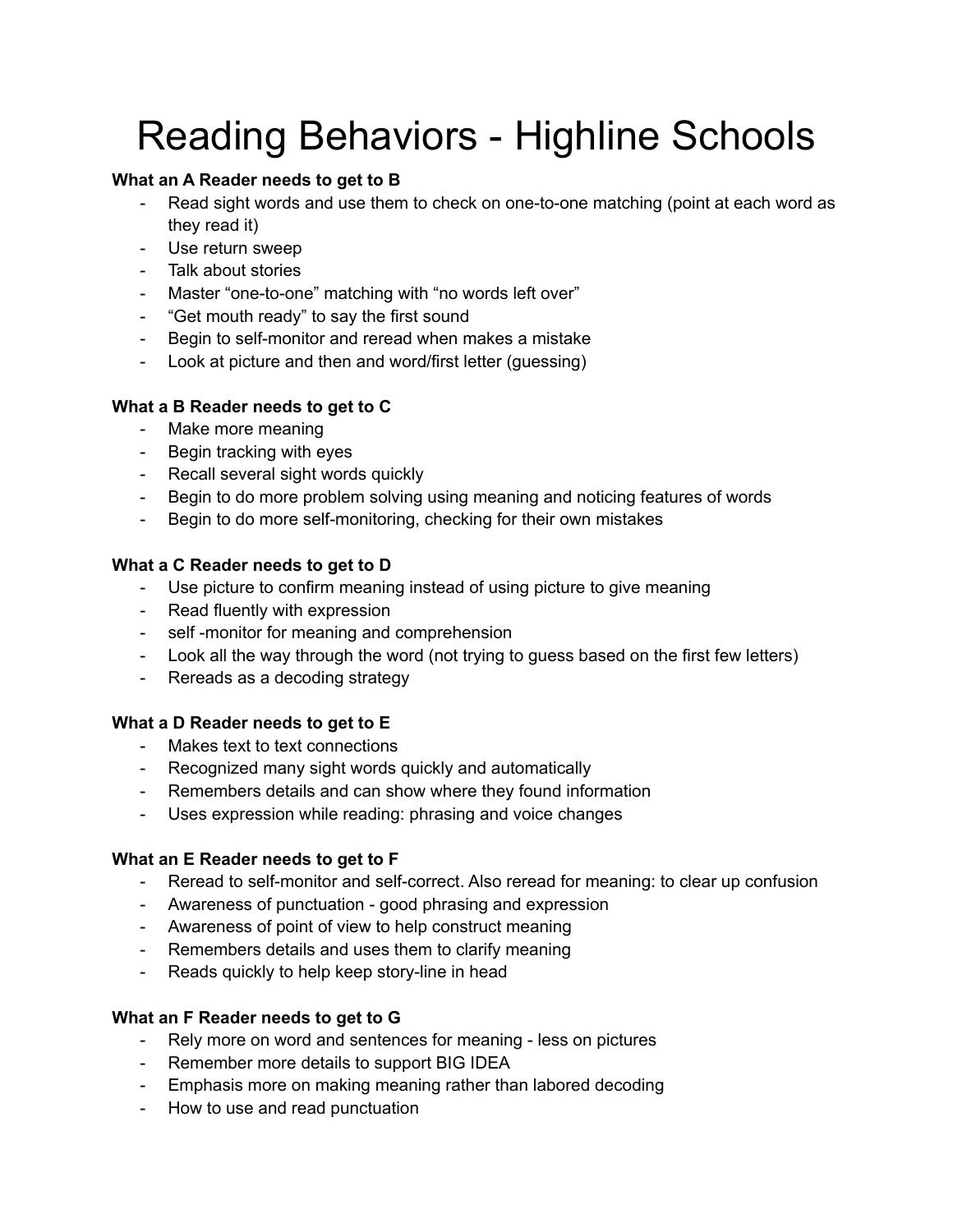# Reading Behaviors - Highline Schools

# **What an A Reader needs to get to B**

- Read sight words and use them to check on one-to-one matching (point at each word as they read it)
- Use return sweep
- Talk about stories
- Master "one-to-one" matching with "no words left over"
- "Get mouth ready" to say the first sound
- Begin to self-monitor and reread when makes a mistake
- Look at picture and then and word/first letter (guessing)

# **What a B Reader needs to get to C**

- Make more meaning
- Begin tracking with eyes
- Recall several sight words quickly
- Begin to do more problem solving using meaning and noticing features of words
- Begin to do more self-monitoring, checking for their own mistakes

# **What a C Reader needs to get to D**

- Use picture to confirm meaning instead of using picture to give meaning
- Read fluently with expression
- self -monitor for meaning and comprehension
- Look all the way through the word (not trying to guess based on the first few letters)
- Rereads as a decoding strategy

# **What a D Reader needs to get to E**

- Makes text to text connections
- Recognized many sight words quickly and automatically
- Remembers details and can show where they found information
- Uses expression while reading: phrasing and voice changes

# **What an E Reader needs to get to F**

- Reread to self-monitor and self-correct. Also reread for meaning: to clear up confusion
- Awareness of punctuation good phrasing and expression
- Awareness of point of view to help construct meaning
- Remembers details and uses them to clarify meaning
- Reads quickly to help keep story-line in head

# **What an F Reader needs to get to G**

- Rely more on word and sentences for meaning less on pictures
- Remember more details to support BIG IDEA
- Emphasis more on making meaning rather than labored decoding
- How to use and read punctuation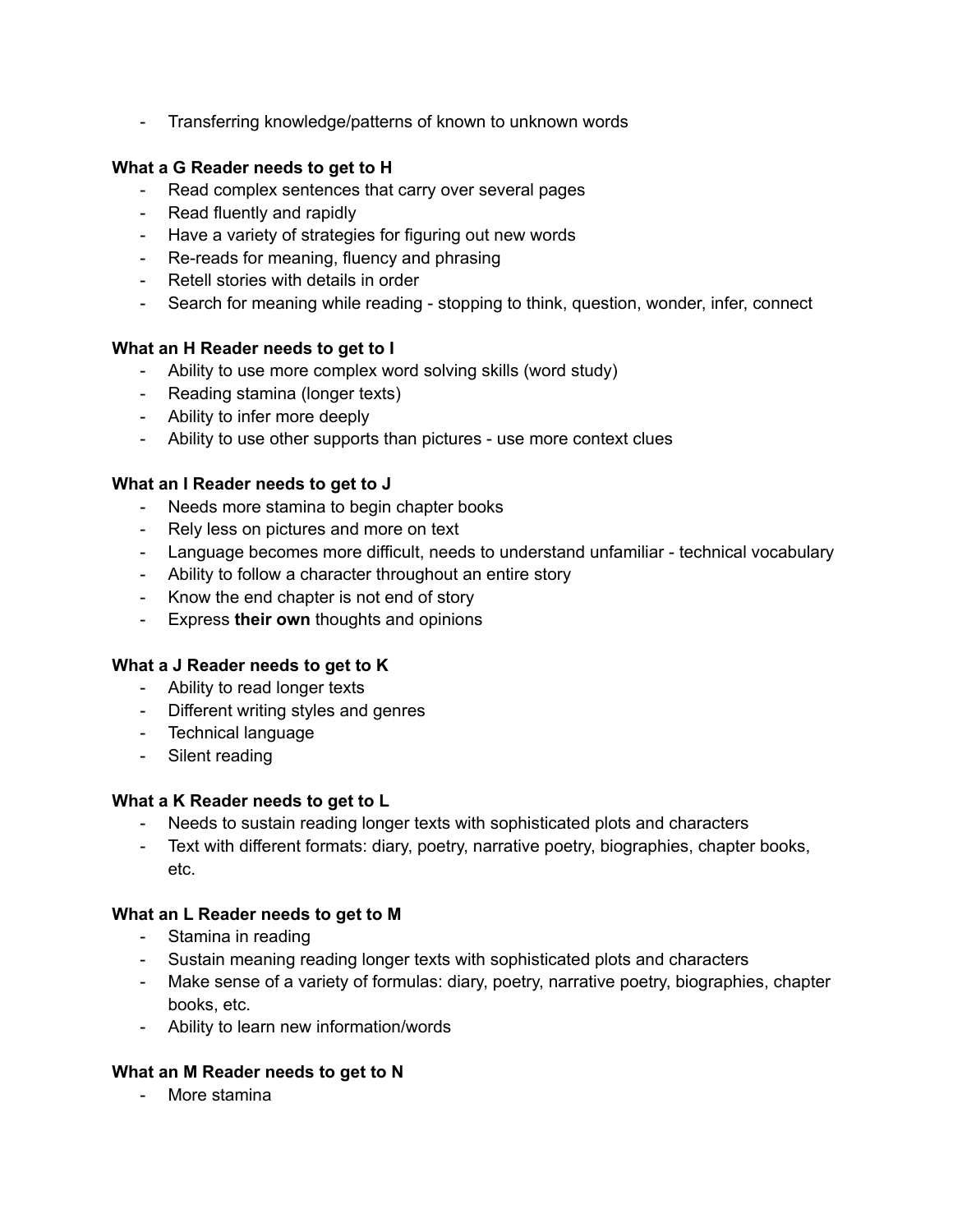- Transferring knowledge/patterns of known to unknown words

# **What a G Reader needs to get to H**

- Read complex sentences that carry over several pages
- Read fluently and rapidly
- Have a variety of strategies for figuring out new words
- Re-reads for meaning, fluency and phrasing
- Retell stories with details in order
- Search for meaning while reading stopping to think, question, wonder, infer, connect

# **What an H Reader needs to get to I**

- Ability to use more complex word solving skills (word study)
- Reading stamina (longer texts)
- Ability to infer more deeply
- Ability to use other supports than pictures use more context clues

#### **What an I Reader needs to get to J**

- Needs more stamina to begin chapter books
- Rely less on pictures and more on text
- Language becomes more difficult, needs to understand unfamiliar technical vocabulary
- Ability to follow a character throughout an entire story
- Know the end chapter is not end of story
- Express **their own** thoughts and opinions

#### **What a J Reader needs to get to K**

- Ability to read longer texts
- Different writing styles and genres
- Technical language
- Silent reading

#### **What a K Reader needs to get to L**

- Needs to sustain reading longer texts with sophisticated plots and characters
- Text with different formats: diary, poetry, narrative poetry, biographies, chapter books, etc.

# **What an L Reader needs to get to M**

- Stamina in reading
- Sustain meaning reading longer texts with sophisticated plots and characters
- Make sense of a variety of formulas: diary, poetry, narrative poetry, biographies, chapter books, etc.
- Ability to learn new information/words

# **What an M Reader needs to get to N**

- More stamina